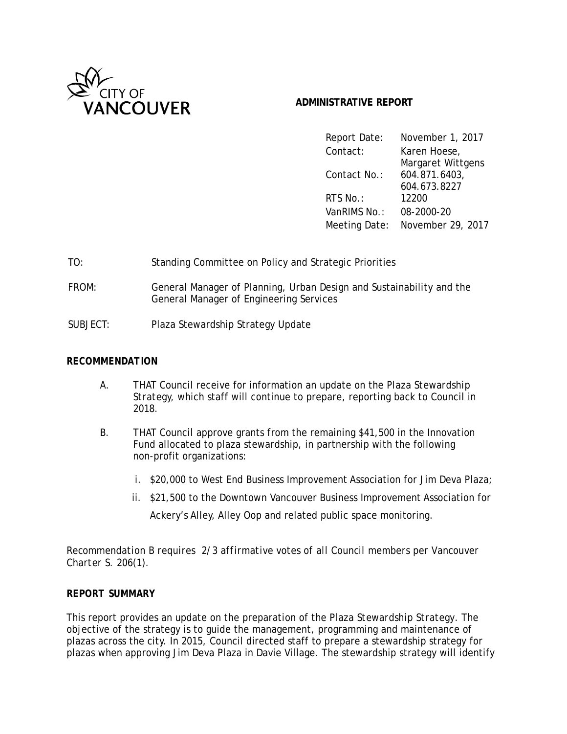

### **ADMINISTRATIVE REPORT**

| Report Date:  | November 1, 2017  |
|---------------|-------------------|
| Contact:      | Karen Hoese,      |
|               | Margaret Wittgens |
| Contact No.:  | 604.871.6403,     |
|               | 604.673.8227      |
| RTS No.:      | 12200             |
| VanRIMS No.:  | 08-2000-20        |
| Meeting Date: | November 29, 2017 |

- TO: Standing Committee on Policy and Strategic Priorities
- FROM: General Manager of Planning, Urban Design and Sustainability and the General Manager of Engineering Services
- SUBJECT: Plaza Stewardship Strategy Update

#### *RECOMMENDATION*

- A. THAT Council receive for information an update on the *Plaza Stewardship Strategy,* which staff will continue to prepare, reporting back to Council in 2018.
- B. THAT Council approve grants from the remaining \$41,500 in the Innovation Fund allocated to plaza stewardship, in partnership with the following non-profit organizations*:*
	- i. \$20,000 to West End Business Improvement Association for Jim Deva Plaza;
	- ii. \$21,500 to the Downtown Vancouver Business Improvement Association for

Ackery's Alley, Alley Oop and related public space monitoring.

*Recommendation B requires 2/3 affirmative votes of all Council members per Vancouver Charter S. 206(1).*

#### *REPORT SUMMARY*

This report provides an update on the preparation of the *Plaza Stewardship Strategy*. The objective of the strategy is to guide the management, programming and maintenance of plazas across the city. In 2015, Council directed staff to prepare a stewardship strategy for plazas when approving Jim Deva Plaza in Davie Village. The stewardship strategy will identify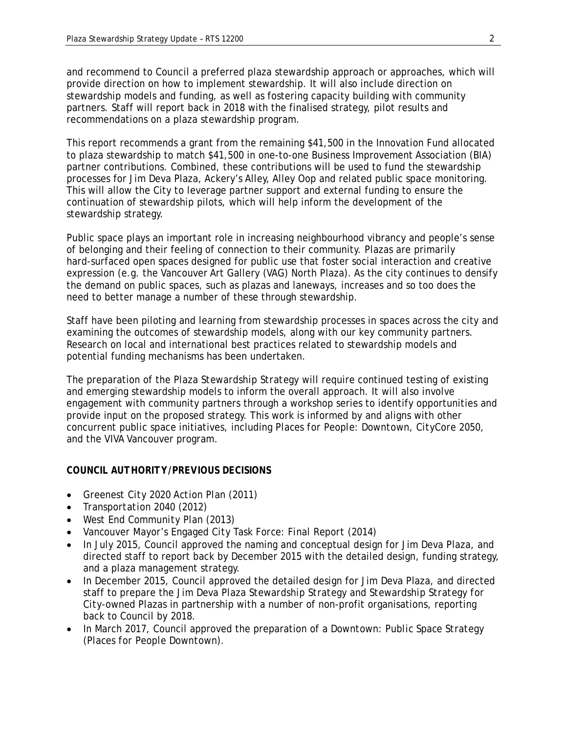and recommend to Council a preferred plaza stewardship approach or approaches, which will provide direction on how to implement stewardship. It will also include direction on stewardship models and funding, as well as fostering capacity building with community partners. Staff will report back in 2018 with the finalised strategy, pilot results and recommendations on a plaza stewardship program.

This report recommends a grant from the remaining \$41,500 in the Innovation Fund allocated to plaza stewardship to match \$41,500 in one-to-one Business Improvement Association (BIA) partner contributions. Combined, these contributions will be used to fund the stewardship processes for Jim Deva Plaza, Ackery's Alley, Alley Oop and related public space monitoring. This will allow the City to leverage partner support and external funding to ensure the continuation of stewardship pilots, which will help inform the development of the stewardship strategy.

Public space plays an important role in increasing neighbourhood vibrancy and people's sense of belonging and their feeling of connection to their community. Plazas are primarily hard-surfaced open spaces designed for public use that foster social interaction and creative expression (e.g. the Vancouver Art Gallery (VAG) North Plaza). As the city continues to densify the demand on public spaces, such as plazas and laneways, increases and so too does the need to better manage a number of these through stewardship.

Staff have been piloting and learning from stewardship processes in spaces across the city and examining the outcomes of stewardship models, along with our key community partners. Research on local and international best practices related to stewardship models and potential funding mechanisms has been undertaken.

The preparation of the *Plaza Stewardship Strategy* will require continued testing of existing and emerging stewardship models to inform the overall approach. It will also involve engagement with community partners through a workshop series to identify opportunities and provide input on the proposed strategy. This work is informed by and aligns with other concurrent public space initiatives, including *Places for People: Downtown*, *CityCore 2050,* and the VIVA Vancouver program.

#### *COUNCIL AUTHORITY/PREVIOUS DECISIONS*

- *Greenest City 2020 Action Plan* (2011)
- *Transportation 2040* (2012)
- *West End Community Plan* (2013)
- *Vancouver Mayor's Engaged City Task Force: Final Report* (2014)
- In July 2015, Council approved the naming and conceptual design for Jim Deva Plaza, and directed staff to report back by December 2015 with the detailed design, funding strategy, and a plaza management strategy.
- In December 2015, Council approved the detailed design for Jim Deva Plaza, and directed staff to prepare the *Jim Deva Plaza Stewardship Strategy* and *Stewardship Strategy for City-owned Plazas* in partnership with a number of non-profit organisations, reporting back to Council by 2018.
- In March 2017, Council approved the preparation of a *Downtown: Public Space Strategy* (*Places for People Downtown*).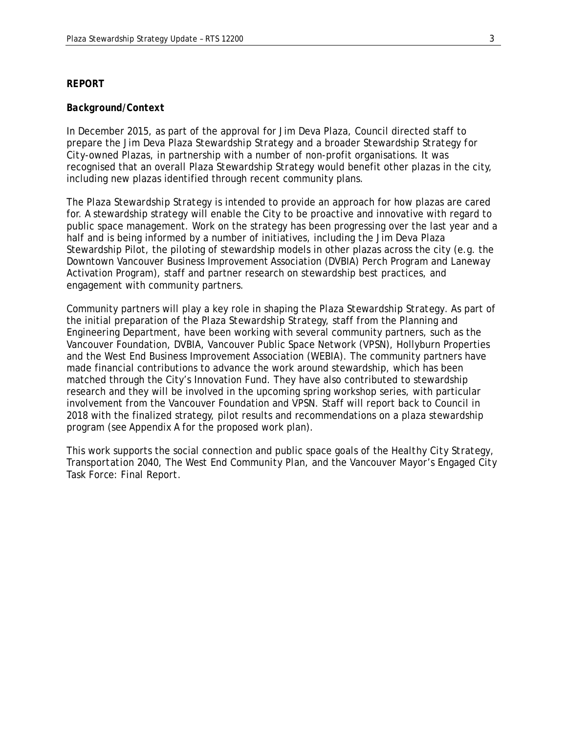#### *REPORT*

#### *Background/Context*

In December 2015, as part of the approval for Jim Deva Plaza, Council directed staff to prepare the *Jim Deva Plaza Stewardship Strategy* and a broader *Stewardship Strategy for City-owned Plazas,* in partnership with a number of non-profit organisations. It was recognised that an overall *Plaza Stewardship Strategy* would benefit other plazas in the city, including new plazas identified through recent community plans.

The *Plaza Stewardship Strategy* is intended to provide an approach for how plazas are cared for. A stewardship strategy will enable the City to be proactive and innovative with regard to public space management. Work on the strategy has been progressing over the last year and a half and is being informed by a number of initiatives, including the Jim Deva Plaza Stewardship Pilot, the piloting of stewardship models in other plazas across the city (e.g. the Downtown Vancouver Business Improvement Association (DVBIA) Perch Program and Laneway Activation Program), staff and partner research on stewardship best practices, and engagement with community partners.

Community partners will play a key role in shaping the *Plaza Stewardship Strategy*. As part of the initial preparation of the *Plaza Stewardship Strategy,* staff from the Planning and Engineering Department, have been working with several community partners, such as the Vancouver Foundation, DVBIA, Vancouver Public Space Network (VPSN), Hollyburn Properties and the West End Business Improvement Association (WEBIA). The community partners have made financial contributions to advance the work around stewardship, which has been matched through the City's Innovation Fund. They have also contributed to stewardship research and they will be involved in the upcoming spring workshop series, with particular involvement from the Vancouver Foundation and VPSN. Staff will report back to Council in 2018 with the finalized strategy, pilot results and recommendations on a plaza stewardship program (see Appendix A for the proposed work plan).

This work supports the social connection and public space goals of the *Healthy City Strategy*, *Transportation 2040*, *The West End Community Plan*, and the *Vancouver Mayor's Engaged City Task Force: Final Report*.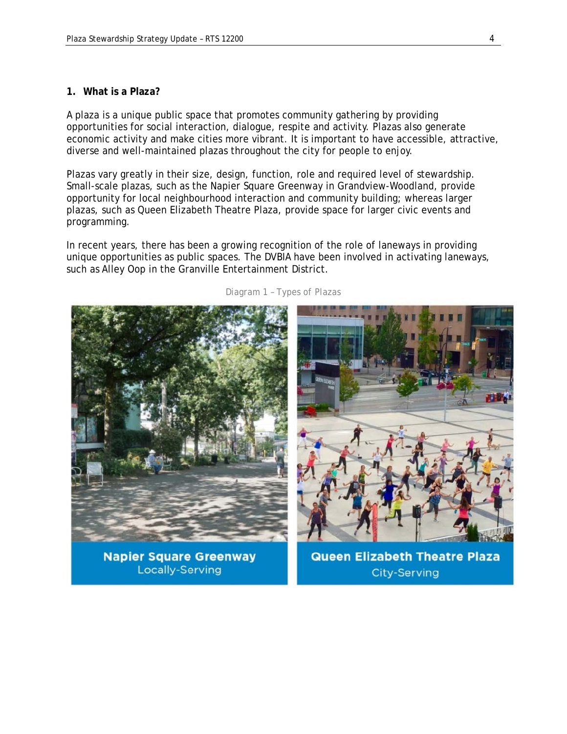#### **1. What is a Plaza?**

A plaza is a unique public space that promotes community gathering by providing opportunities for social interaction, dialogue, respite and activity. Plazas also generate economic activity and make cities more vibrant. It is important to have accessible, attractive, diverse and well-maintained plazas throughout the city for people to enjoy.

Plazas vary greatly in their size, design, function, role and required level of stewardship. Small-scale plazas, such as the Napier Square Greenway in Grandview-Woodland, provide opportunity for local neighbourhood interaction and community building; whereas larger plazas, such as Queen Elizabeth Theatre Plaza, provide space for larger civic events and programming.

In recent years, there has been a growing recognition of the role of laneways in providing unique opportunities as public spaces. The DVBIA have been involved in activating laneways, such as Alley Oop in the Granville Entertainment District.



**Napier Square Greenway Locally-Serving** 

**Queen Elizabeth Theatre Plaza City-Serving**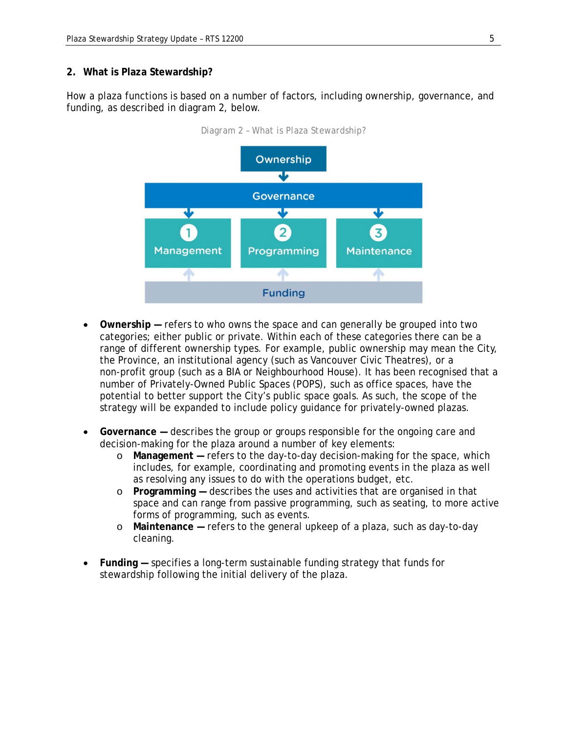#### **2. What is Plaza Stewardship?**

How a plaza functions is based on a number of factors, including ownership, governance, and funding, as described in diagram 2, below.



*Diagram 2 – What is Plaza Stewardship?*

- **Ownership** refers to who owns the space and can generally be grouped into two categories; either public or private. Within each of these categories there can be a range of different ownership types. For example, public ownership may mean the City, the Province, an institutional agency (such as Vancouver Civic Theatres), or a non-profit group (such as a BIA or Neighbourhood House). It has been recognised that a number of Privately-Owned Public Spaces (POPS), such as office spaces, have the potential to better support the City's public space goals. As such, the scope of the strategy will be expanded to include policy guidance for privately-owned plazas.
- **Governance** describes the group or groups responsible for the ongoing care and decision-making for the plaza around a number of key elements:
	- o **Management** refers to the day-to-day decision-making for the space, which includes, for example, coordinating and promoting events in the plaza as well as resolving any issues to do with the operations budget, etc.
	- o **Programming** describes the uses and activities that are organised in that space and can range from passive programming, such as seating, to more active forms of programming, such as events.
	- o **Maintenance** refers to the general upkeep of a plaza, such as day-to-day cleaning.
- **Funding** specifies a long-term sustainable funding strategy that funds for stewardship following the initial delivery of the plaza.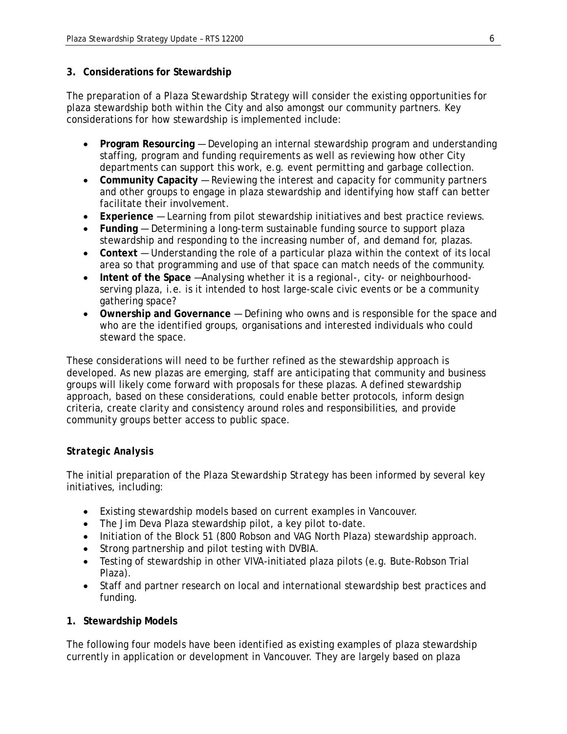### **3. Considerations for Stewardship**

The preparation of a *Plaza Stewardship Strategy* will consider the existing opportunities for plaza stewardship both within the City and also amongst our community partners. Key considerations for how stewardship is implemented include:

- **Program Resourcing** Developing an internal stewardship program and understanding staffing, program and funding requirements as well as reviewing how other City departments can support this work, e.g. event permitting and garbage collection.
- **Community Capacity** Reviewing the interest and capacity for community partners and other groups to engage in plaza stewardship and identifying how staff can better facilitate their involvement.
- **Experience**  Learning from pilot stewardship initiatives and best practice reviews.
- **Funding** Determining a long-term sustainable funding source to support plaza stewardship and responding to the increasing number of, and demand for, plazas.
- **Context** Understanding the role of a particular plaza within the context of its local area so that programming and use of that space can match needs of the community.
- **Intent of the Space** —Analysing whether it is a regional-, city- or neighbourhoodserving plaza, i.e. is it intended to host large-scale civic events or be a community gathering space?
- **Ownership and Governance** Defining who owns and is responsible for the space and who are the identified groups, organisations and interested individuals who could steward the space.

These considerations will need to be further refined as the stewardship approach is developed. As new plazas are emerging, staff are anticipating that community and business groups will likely come forward with proposals for these plazas. A defined stewardship approach, based on these considerations, could enable better protocols, inform design criteria, create clarity and consistency around roles and responsibilities, and provide community groups better access to public space.

## *Strategic Analysis*

The initial preparation of the *Plaza Stewardship Strategy* has been informed by several key initiatives, including:

- Existing stewardship models based on current examples in Vancouver.
- The Jim Deva Plaza stewardship pilot, a key pilot to-date.
- Initiation of the Block 51 (800 Robson and VAG North Plaza) stewardship approach.
- Strong partnership and pilot testing with DVBIA.
- Testing of stewardship in other VIVA-initiated plaza pilots (e.g. Bute-Robson Trial Plaza).
- Staff and partner research on local and international stewardship best practices and funding.

### **1. Stewardship Models**

The following four models have been identified as existing examples of plaza stewardship currently in application or development in Vancouver. They are largely based on plaza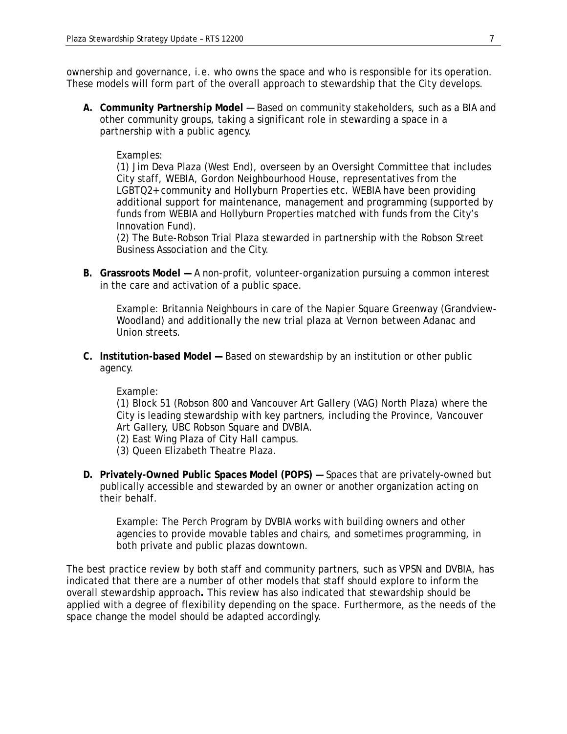ownership and governance, i.e. who owns the space and who is responsible for its operation. These models will form part of the overall approach to stewardship that the City develops.

*A.* **Community Partnership Model** — Based on community stakeholders, such as a BIA and other community groups, taking a significant role in stewarding a space in a partnership with a public agency.

#### *Examples*:

(1) Jim Deva Plaza (West End), overseen by an Oversight Committee that includes City staff, WEBIA, Gordon Neighbourhood House, representatives from the LGBTQ2+ community and Hollyburn Properties etc. WEBIA have been providing additional support for maintenance, management and programming (supported by funds from WEBIA and Hollyburn Properties matched with funds from the City's Innovation Fund).

(2) The Bute-Robson Trial Plaza stewarded in partnership with the Robson Street Business Association and the City.

*B.* **Grassroots Model —** A non-profit, volunteer-organization pursuing a common interest in the care and activation of a public space.

*Example*: Britannia Neighbours in care of the Napier Square Greenway (Grandview-Woodland) and additionally the new trial plaza at Vernon between Adanac and Union streets.

*C.* **Institution-based Model —** Based on stewardship by an institution or other public agency.

#### *Example*:

(1) Block 51 (Robson 800 and Vancouver Art Gallery (VAG) North Plaza) where the City is leading stewardship with key partners, including the Province, Vancouver Art Gallery, UBC Robson Square and DVBIA.

- (2) East Wing Plaza of City Hall campus.
- (3) Queen Elizabeth Theatre Plaza.
- *D.* **Privately-Owned Public Spaces Model (POPS)** Spaces that are privately-owned but publically accessible and stewarded by an owner or another organization acting on their behalf.

*Example*: The Perch Program by DVBIA works with building owners and other agencies to provide movable tables and chairs, and sometimes programming, in both private and public plazas downtown.

The best practice review by both staff and community partners, such as VPSN and DVBIA, has indicated that there are a number of other models that staff should explore to inform the overall stewardship approach**.** This review has also indicated that stewardship should be applied with a degree of flexibility depending on the space. Furthermore, as the needs of the space change the model should be adapted accordingly.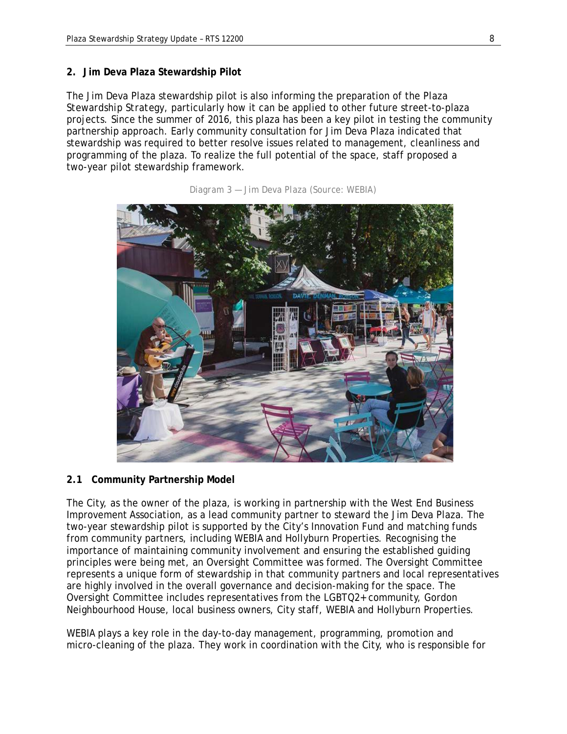#### **2. Jim Deva Plaza Stewardship Pilot**

The Jim Deva Plaza stewardship pilot is also informing the preparation of the *Plaza Stewardship Strategy*, particularly how it can be applied to other future street-to-plaza projects. Since the summer of 2016, this plaza has been a key pilot in testing the community partnership approach. Early community consultation for Jim Deva Plaza indicated that stewardship was required to better resolve issues related to management, cleanliness and programming of the plaza. To realize the full potential of the space, staff proposed a two-year pilot stewardship framework.



*Diagram 3 — Jim Deva Plaza (Source: WEBIA)*

#### **2.1 Community Partnership Model**

The City, as the owner of the plaza, is working in partnership with the West End Business Improvement Association, as a lead community partner to steward the Jim Deva Plaza. The two-year stewardship pilot is supported by the City's Innovation Fund and matching funds from community partners, including WEBIA and Hollyburn Properties. Recognising the importance of maintaining community involvement and ensuring the established guiding principles were being met, an Oversight Committee was formed. The Oversight Committee represents a unique form of stewardship in that community partners and local representatives are highly involved in the overall governance and decision-making for the space. The Oversight Committee includes representatives from the LGBTQ2+ community, Gordon Neighbourhood House, local business owners, City staff, WEBIA and Hollyburn Properties.

WEBIA plays a key role in the day-to-day management, programming, promotion and micro-cleaning of the plaza. They work in coordination with the City, who is responsible for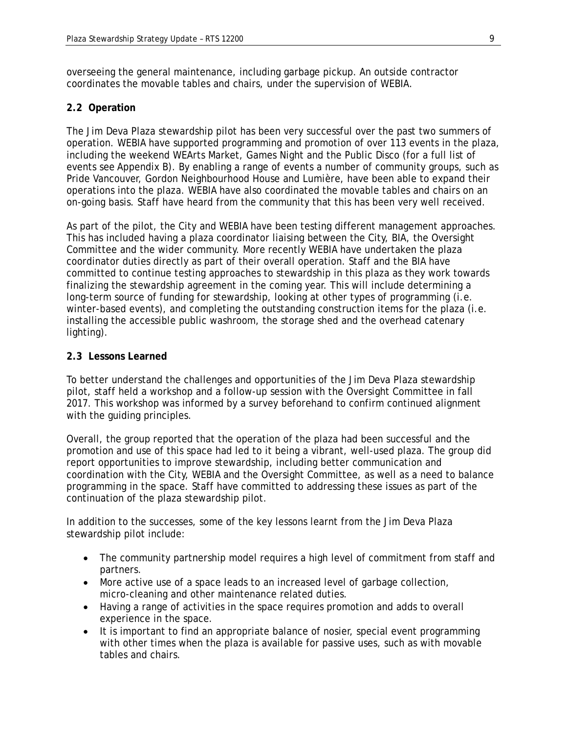overseeing the general maintenance, including garbage pickup. An outside contractor coordinates the movable tables and chairs, under the supervision of WEBIA.

### **2.2 Operation**

The Jim Deva Plaza stewardship pilot has been very successful over the past two summers of operation. WEBIA have supported programming and promotion of over 113 events in the plaza, including the weekend WEArts Market, Games Night and the Public Disco (for a full list of events see Appendix B). By enabling a range of events a number of community groups, such as Pride Vancouver, Gordon Neighbourhood House and *Lumière,* have been able to expand their operations into the plaza. WEBIA have also coordinated the movable tables and chairs on an on-going basis. Staff have heard from the community that this has been very well received.

As part of the pilot, the City and WEBIA have been testing different management approaches. This has included having a plaza coordinator liaising between the City, BIA, the Oversight Committee and the wider community. More recently WEBIA have undertaken the plaza coordinator duties directly as part of their overall operation. Staff and the BIA have committed to continue testing approaches to stewardship in this plaza as they work towards finalizing the stewardship agreement in the coming year. This will include determining a long-term source of funding for stewardship, looking at other types of programming (i.e. winter-based events), and completing the outstanding construction items for the plaza (i.e. installing the accessible public washroom, the storage shed and the overhead catenary lighting).

#### **2.3 Lessons Learned**

To better understand the challenges and opportunities of the Jim Deva Plaza stewardship pilot, staff held a workshop and a follow-up session with the Oversight Committee in fall 2017. This workshop was informed by a survey beforehand to confirm continued alignment with the guiding principles.

Overall, the group reported that the operation of the plaza had been successful and the promotion and use of this space had led to it being a vibrant, well-used plaza. The group did report opportunities to improve stewardship, including better communication and coordination with the City, WEBIA and the Oversight Committee, as well as a need to balance programming in the space. Staff have committed to addressing these issues as part of the continuation of the plaza stewardship pilot.

In addition to the successes, some of the key lessons learnt from the Jim Deva Plaza stewardship pilot include:

- The community partnership model requires a high level of commitment from staff and partners.
- More active use of a space leads to an increased level of garbage collection, micro-cleaning and other maintenance related duties.
- Having a range of activities in the space requires promotion and adds to overall experience in the space.
- It is important to find an appropriate balance of nosier, special event programming with other times when the plaza is available for passive uses, such as with movable tables and chairs.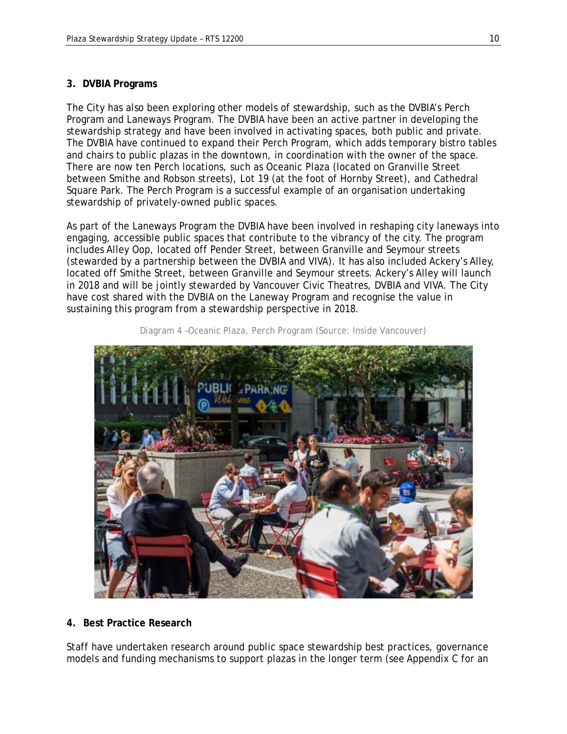#### **3. DVBIA Programs**

The City has also been exploring other models of stewardship, such as the DVBIA's Perch Program and Laneways Program. The DVBIA have been an active partner in developing the stewardship strategy and have been involved in activating spaces, both public and private. The DVBIA have continued to expand their Perch Program, which adds temporary bistro tables and chairs to public plazas in the downtown, in coordination with the owner of the space. There are now ten Perch locations, such as Oceanic Plaza (located on Granville Street between Smithe and Robson streets), Lot 19 (at the foot of Hornby Street), and Cathedral Square Park. The Perch Program is a successful example of an organisation undertaking stewardship of privately-owned public spaces.

As part of the Laneways Program the DVBIA have been involved in reshaping city laneways into engaging, accessible public spaces that contribute to the vibrancy of the city. The program includes Alley Oop, located off Pender Street, between Granville and Seymour streets (stewarded by a partnership between the DVBIA and VIVA). It has also included Ackery's Alley, located off Smithe Street, between Granville and Seymour streets. Ackery's Alley will launch in 2018 and will be jointly stewarded by Vancouver Civic Theatres, DVBIA and VIVA. The City have cost shared with the DVBIA on the Laneway Program and recognise the value in sustaining this program from a stewardship perspective in 2018.



*Diagram 4 –Oceanic Plaza, Perch Program (Source: Inside Vancouver)* 

#### **4. Best Practice Research**

Staff have undertaken research around public space stewardship best practices, governance models and funding mechanisms to support plazas in the longer term (see Appendix C for an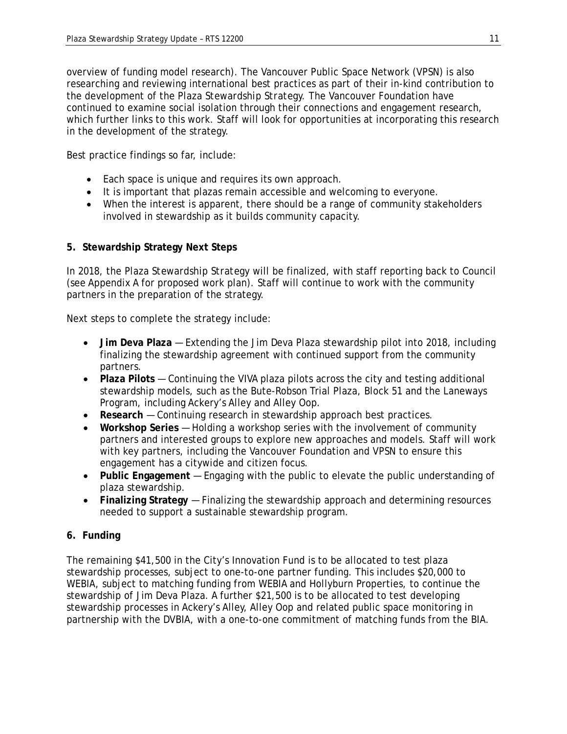overview of funding model research). The Vancouver Public Space Network (VPSN) is also researching and reviewing international best practices as part of their in-kind contribution to the development of the *Plaza Stewardship Strategy.* The Vancouver Foundation have continued to examine social isolation through their connections and engagement research, which further links to this work. Staff will look for opportunities at incorporating this research in the development of the strategy.

Best practice findings so far, include:

- Each space is unique and requires its own approach.
- It is important that plazas remain accessible and welcoming to everyone.
- When the interest is apparent, there should be a range of community stakeholders involved in stewardship as it builds community capacity.

# **5. Stewardship Strategy Next Steps**

In 2018, the *Plaza Stewardship Strategy* will be finalized, with staff reporting back to Council (see Appendix A for proposed work plan). Staff will continue to work with the community partners in the preparation of the strategy.

Next steps to complete the strategy include:

- **Jim Deva Plaza** Extending the Jim Deva Plaza stewardship pilot into 2018, including finalizing the stewardship agreement with continued support from the community partners.
- **Plaza Pilots** Continuing the VIVA plaza pilots across the city and testing additional stewardship models, such as the Bute-Robson Trial Plaza, Block 51 and the Laneways Program, including Ackery's Alley and Alley Oop.
- **Research** Continuing research in stewardship approach best practices.
- **Workshop Series** Holding a workshop series with the involvement of community partners and interested groups to explore new approaches and models. Staff will work with key partners, including the Vancouver Foundation and VPSN to ensure this engagement has a citywide and citizen focus.
- **Public Engagement**  Engaging with the public to elevate the public understanding of plaza stewardship.
- **Finalizing Strategy** Finalizing the stewardship approach and determining resources needed to support a sustainable stewardship program.

# **6. Funding**

The remaining \$41,500 in the City's Innovation Fund is to be allocated to test plaza stewardship processes, subject to one-to-one partner funding. This includes \$20,000 to WEBIA, subject to matching funding from WEBIA and Hollyburn Properties, to continue the stewardship of Jim Deva Plaza. A further \$21,500 is to be allocated to test developing stewardship processes in Ackery's Alley, Alley Oop and related public space monitoring in partnership with the DVBIA, with a one-to-one commitment of matching funds from the BIA.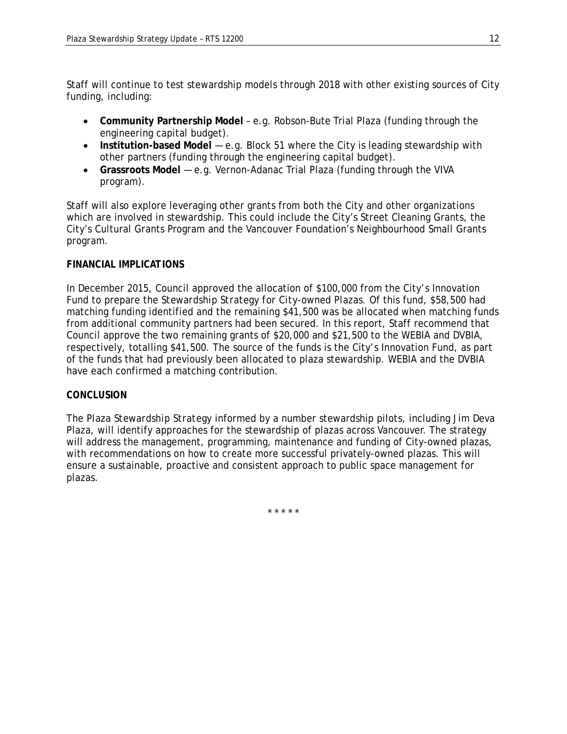Staff will continue to test stewardship models through 2018 with other existing sources of City funding, including:

- **Community Partnership Model** e.g. Robson-Bute Trial Plaza (funding through the engineering capital budget).
- **Institution-based Model** e.g. Block 51 where the City is leading stewardship with other partners (funding through the engineering capital budget).
- **Grassroots Model** e.g. Vernon-Adanac Trial Plaza (funding through the VIVA program).

Staff will also explore leveraging other grants from both the City and other organizations which are involved in stewardship. This could include the City's Street Cleaning Grants, the City's Cultural Grants Program and the Vancouver Foundation's Neighbourhood Small Grants program.

## *FINANCIAL IMPLICATIONS*

In December 2015, Council approved the allocation of \$100,000 from the City's Innovation Fund to prepare the *Stewardship Strategy for City-owned Plazas.* Of this fund, \$58,500 had matching funding identified and the remaining \$41,500 was be allocated when matching funds from additional community partners had been secured. In this report, Staff recommend that Council approve the two remaining grants of \$20,000 and \$21,500 to the WEBIA and DVBIA, respectively, totalling \$41,500. The source of the funds is the City's Innovation Fund, as part of the funds that had previously been allocated to plaza stewardship. WEBIA and the DVBIA have each confirmed a matching contribution.

## *CONCLUSION*

The *Plaza Stewardship Strategy* informed by a number stewardship pilots, including Jim Deva Plaza, will identify approaches for the stewardship of plazas across Vancouver. The strategy will address the management, programming, maintenance and funding of City-owned plazas, with recommendations on how to create more successful privately-owned plazas. This will ensure a sustainable, proactive and consistent approach to public space management for plazas.

\* \* \* \* \*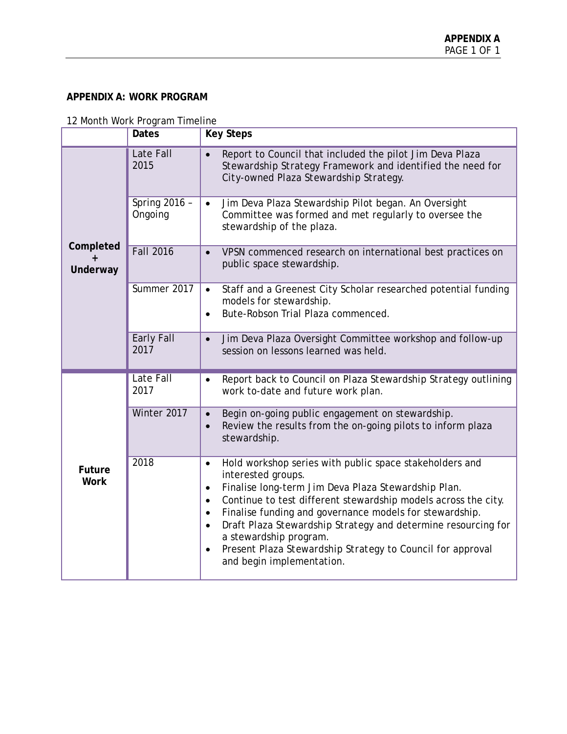### **APPENDIX A: WORK PROGRAM**

|                              | month work in ogram innoi<br>Dates | <b>Key Steps</b>                                                                                                                                                                                                                                                                                                                                                                                                                                                                                                                      |
|------------------------------|------------------------------------|---------------------------------------------------------------------------------------------------------------------------------------------------------------------------------------------------------------------------------------------------------------------------------------------------------------------------------------------------------------------------------------------------------------------------------------------------------------------------------------------------------------------------------------|
| Completed<br>Underway        | Late Fall<br>2015                  | Report to Council that included the pilot Jim Deva Plaza<br>Stewardship Strategy Framework and identified the need for<br>City-owned Plaza Stewardship Strategy.                                                                                                                                                                                                                                                                                                                                                                      |
|                              | Spring 2016 -<br>Ongoing           | Jim Deva Plaza Stewardship Pilot began. An Oversight<br>$\bullet$<br>Committee was formed and met regularly to oversee the<br>stewardship of the plaza.                                                                                                                                                                                                                                                                                                                                                                               |
|                              | <b>Fall 2016</b>                   | VPSN commenced research on international best practices on<br>$\bullet$<br>public space stewardship.                                                                                                                                                                                                                                                                                                                                                                                                                                  |
|                              | Summer 2017                        | Staff and a Greenest City Scholar researched potential funding<br>$\bullet$<br>models for stewardship.<br>Bute-Robson Trial Plaza commenced.<br>$\bullet$                                                                                                                                                                                                                                                                                                                                                                             |
|                              | Early Fall<br>2017                 | Jim Deva Plaza Oversight Committee workshop and follow-up<br>$\bullet$<br>session on lessons learned was held.                                                                                                                                                                                                                                                                                                                                                                                                                        |
|                              | Late Fall<br>2017                  | Report back to Council on Plaza Stewardship Strategy outlining<br>$\bullet$<br>work to-date and future work plan.                                                                                                                                                                                                                                                                                                                                                                                                                     |
|                              | Winter 2017                        | Begin on-going public engagement on stewardship.<br>$\bullet$<br>Review the results from the on-going pilots to inform plaza<br>$\bullet$<br>stewardship.                                                                                                                                                                                                                                                                                                                                                                             |
| <b>Future</b><br><b>Work</b> | 2018                               | Hold workshop series with public space stakeholders and<br>$\bullet$<br>interested groups.<br>Finalise long-term Jim Deva Plaza Stewardship Plan.<br>$\bullet$<br>Continue to test different stewardship models across the city.<br>$\bullet$<br>Finalise funding and governance models for stewardship.<br>$\bullet$<br>Draft Plaza Stewardship Strategy and determine resourcing for<br>$\bullet$<br>a stewardship program.<br>Present Plaza Stewardship Strategy to Council for approval<br>$\bullet$<br>and begin implementation. |

12 Month Work Program Timeline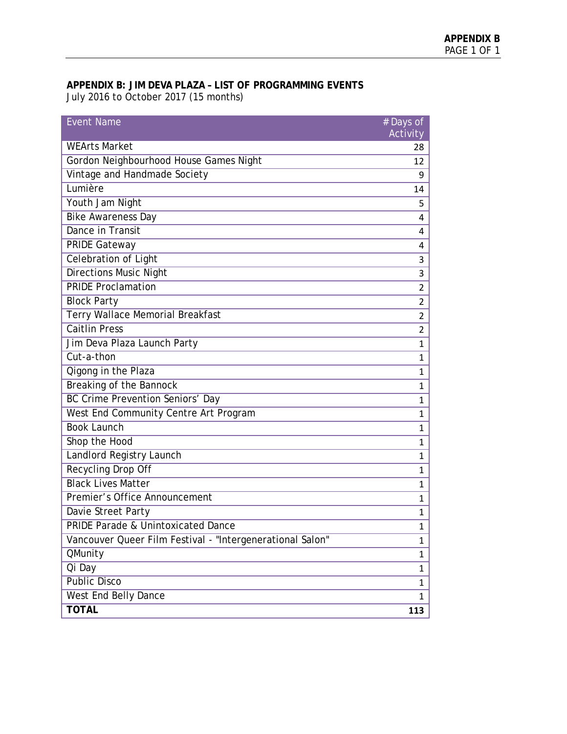## **APPENDIX B: JIM DEVA PLAZA – LIST OF PROGRAMMING EVENTS** July 2016 to October 2017 (15 months)

| <b>Event Name</b>                                         | # Days of<br>Activity |
|-----------------------------------------------------------|-----------------------|
| <b>WEArts Market</b>                                      | 28                    |
| Gordon Neighbourhood House Games Night                    | 12                    |
| Vintage and Handmade Society                              | 9                     |
| Lumière                                                   | 14                    |
| Youth Jam Night                                           | 5                     |
| <b>Bike Awareness Day</b>                                 | 4                     |
| Dance in Transit                                          | 4                     |
| <b>PRIDE Gateway</b>                                      | 4                     |
| Celebration of Light                                      | 3                     |
| <b>Directions Music Night</b>                             | 3                     |
| <b>PRIDE Proclamation</b>                                 | 2                     |
| <b>Block Party</b>                                        | $\overline{2}$        |
| Terry Wallace Memorial Breakfast                          | 2                     |
| <b>Caitlin Press</b>                                      | 2                     |
| Jim Deva Plaza Launch Party                               | 1                     |
| Cut-a-thon                                                | $\mathbf{1}$          |
| Qigong in the Plaza                                       | 1                     |
| Breaking of the Bannock                                   | 1                     |
| BC Crime Prevention Seniors' Day                          | 1                     |
| West End Community Centre Art Program                     | 1                     |
| <b>Book Launch</b>                                        | 1                     |
| Shop the Hood                                             | 1                     |
| Landlord Registry Launch                                  | 1                     |
| Recycling Drop Off                                        | 1                     |
| <b>Black Lives Matter</b>                                 | 1                     |
| Premier's Office Announcement                             | 1                     |
| Davie Street Party                                        | 1                     |
| PRIDE Parade & Unintoxicated Dance                        | $\mathbf{1}$          |
| Vancouver Queer Film Festival - "Intergenerational Salon" | 1                     |
| QMunity                                                   | $\mathbf 1$           |
| Qi Day                                                    | 1                     |
| <b>Public Disco</b>                                       | 1                     |
| West End Belly Dance                                      | 1                     |
| <b>TOTAL</b>                                              | 113                   |